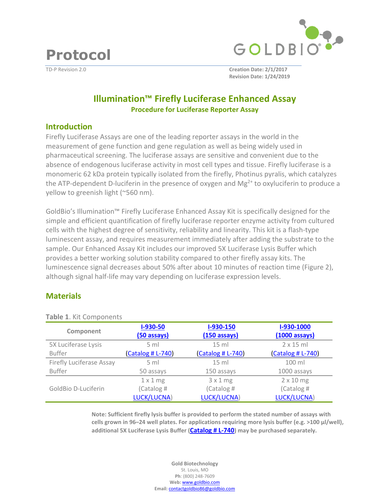**Protocol** 



TD-P Revision 2.0 **Creation Date: 2/1/2017 Revision Date: 1/24/2019**

# **Illumination™ Firefly Luciferase Enhanced Assay Procedure for Luciferase Reporter Assay**

#### **Introduction**

Firefly Luciferase Assays are one of the leading reporter assays in the world in the measurement of gene function and gene regulation as well as being widely used in pharmaceutical screening. The luciferase assays are sensitive and convenient due to the absence of endogenous luciferase activity in most cell types and tissue. Firefly luciferase is a monomeric 62 kDa protein typically isolated from the firefly, Photinus pyralis, which catalyzes the ATP-dependent D-luciferin in the presence of oxygen and  $Mg^{2+}$  to oxyluciferin to produce a yellow to greenish light (~560 nm).

GoldBio's Illumination™ Firefly Luciferase Enhanced Assay Kit is specifically designed for the simple and efficient quantification of firefly luciferase reporter enzyme activity from cultured cells with the highest degree of sensitivity, reliability and linearity. This kit is a flash-type luminescent assay, and requires measurement immediately after adding the substrate to the sample. Our Enhanced Assay Kit includes our improved 5X Luciferase Lysis Buffer which provides a better working solution stability compared to other firefly assay kits. The luminescence signal decreases about 50% after about 10 minutes of reaction time (Figure 2), although signal half-life may vary depending on luciferase expression levels.

### **Materials**

| <b>I GUILLE.</b> NIL CUITIVUITEIILS |                   |                   |                          |
|-------------------------------------|-------------------|-------------------|--------------------------|
|                                     | $I-930-50$        | I-930-150         | I-930-1000               |
| Component                           | (50 assays)       | $(150$ assays)    | $(1000 \text{ assays})$  |
| 5X Luciferase Lysis                 | 5 ml              | $15 \text{ ml}$   | $2 \times 15$ ml         |
| <b>Buffer</b>                       | (Catalog # L-740) | (Catalog # L-740) | <b>(Catalog # L-740)</b> |
| Firefly Luciferase Assay            | $5 \text{ ml}$    | $15 \text{ ml}$   | 100 ml                   |
| <b>Buffer</b>                       | 50 assays         | 150 assays        | 1000 assays              |
|                                     | $1 \times 1$ mg   | 3x1mg             | $2 \times 10$ mg         |
| GoldBio D-Luciferin                 | (Catalog #        | (Catalog #        | (Catalog #               |
|                                     | LUCK/LUCNA)       | LUCK/LUCNA)       | LUCK/LUCNA)              |

**Table 1**. Kit Components

**Note: Sufficient firefly lysis buffer is provided to perform the stated number of assays with cells grown in 96–24 well plates. For applications requiring more lysis buffer (e.g. >100 µl/well), additional 5X Luciferase Lysis Buffer ([Catalog # L-740](https://www.goldbio.com/product/12778/5x-luciferase-lysis-buffer)) may be purchased separately.**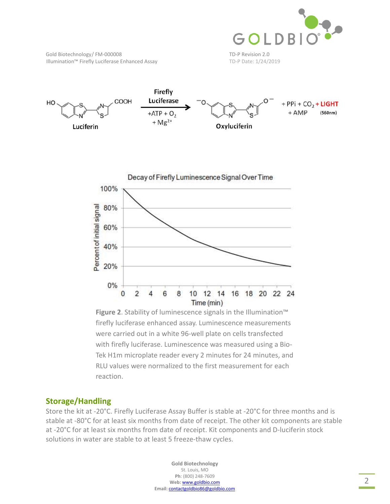

Gold Biotechnology/FM-000008 TD-P Revision 2.0 Illumination™ Firefly Luciferase Enhanced Assay TD-P Date: 1/24/2019





**Figure 2**. Stability of luminescence signals in the Illumination™ firefly luciferase enhanced assay. Luminescence measurements were carried out in a white 96-well plate on cells transfected with firefly luciferase. Luminescence was measured using a Bio-Tek H1m microplate reader every 2 minutes for 24 minutes, and RLU values were normalized to the first measurement for each reaction.

### **Storage/Handling**

Store the kit at -20°C. Firefly Luciferase Assay Buffer is stable at -20°C for three months and is stable at -80°C for at least six months from date of receipt. The other kit components are stable at -20°C for at least six months from date of receipt. Kit components and D-luciferin stock solutions in water are stable to at least 5 freeze-thaw cycles.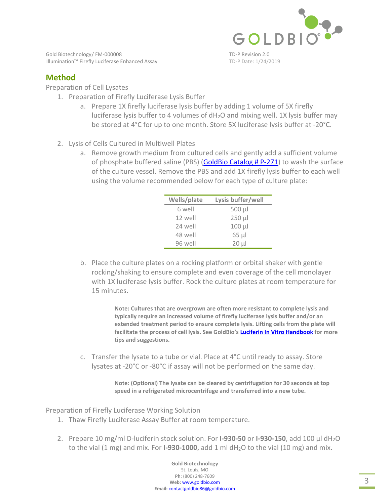

Gold Biotechnology/FM-000008 TD-P Revision 2.0 Illumination™ Firefly Luciferase Enhanced Assay TD-P Date: 1/24/2019

## **Method**

Preparation of Cell Lysates

- 1. Preparation of Firefly Luciferase Lysis Buffer
	- a. Prepare 1X firefly luciferase lysis buffer by adding 1 volume of 5X firefly luciferase lysis buffer to 4 volumes of dH2O and mixing well. 1X lysis buffer may be stored at 4°C for up to one month. Store 5X luciferase lysis buffer at -20°C.
- 2. Lysis of Cells Cultured in Multiwell Plates
	- a. Remove growth medium from cultured cells and gently add a sufficient volume of phosphate buffere[d saline \(PBS\) \(GoldBio Catalog # P-271](https://www.goldbio.com/product/3927/pbs-phosphate-buffered-saline-tablets)) to wash the surface of the culture vessel. Remove the PBS and add 1X firefly lysis buffer to each well using the volume recommended below for each type of culture plate:

| Wells/plate | Lysis buffer/well |
|-------------|-------------------|
| 6 well      | 500 µl            |
| 12 well     | $250 \mu$         |
| 24 well     | $100 \mu$         |
| 48 well     | $65 \mu$          |
| 96 well     | $20 \mu$          |

b. Place the culture plates on a rocking platform or orbital shaker with gentle rocking/shaking to ensure complete and even coverage of the cell monolayer with 1X luciferase lysis buffer. Rock the culture plates at room temperature for 15 minutes.

> **Note: Cultures that are overgrown are often more resistant to complete lysis and typically require an increased volume of firefly luciferase lysis buffer and/or an extended treatment period to ensure complete lysis. Lifting cells from the plate will facilitate the process of cell lysis. See GoldBio's [Luciferin In Vitro Handbook](https://www.goldbio.com/documents/1067/Luciferin In Vitro Book v1_160422.pdf) for more tips and suggestions.**

c. Transfer the lysate to a tube or vial. Place at 4°C until ready to assay. Store lysates at -20°C or -80°C if assay will not be performed on the same day.

> **Note: (Optional) The lysate can be cleared by centrifugation for 30 seconds at top speed in a refrigerated microcentrifuge and transferred into a new tube.**

Preparation of Firefly Luciferase Working Solution

- 1. Thaw Firefly Luciferase Assay Buffer at room temperature.
- 2. Prepare 10 mg/ml D-luciferin stock solution. For **I-930-50** or **I-930-150**, add 100 µl dH2O to the vial  $(1 \text{ mg})$  and mix. For **I-930-1000**, add  $1 \text{ ml } dH_2O$  to the vial  $(10 \text{ mg})$  and mix.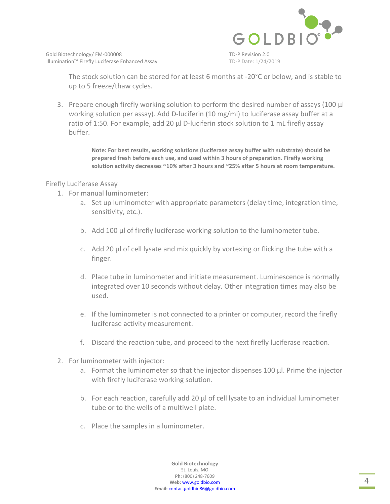

The stock solution can be stored for at least 6 months at -20°C or below, and is stable to up to 5 freeze/thaw cycles.

3. Prepare enough firefly working solution to perform the desired number of assays (100 µl working solution per assay). Add D-luciferin (10 mg/ml) to luciferase assay buffer at a ratio of 1:50. For example, add 20 µl D-luciferin stock solution to 1 mL firefly assay buffer.

> **Note: For best results, working solutions (luciferase assay buffer with substrate) should be prepared fresh before each use, and used within 3 hours of preparation. Firefly working solution activity decreases ~10% after 3 hours and ~25% after 5 hours at room temperature.**

#### Firefly Luciferase Assay

- 1. For manual luminometer:
	- a. Set up luminometer with appropriate parameters (delay time, integration time, sensitivity, etc.).
	- b. Add 100 µl of firefly luciferase working solution to the luminometer tube.
	- c. Add 20 µl of cell lysate and mix quickly by vortexing or flicking the tube with a finger.
	- d. Place tube in luminometer and initiate measurement. Luminescence is normally integrated over 10 seconds without delay. Other integration times may also be used.
	- e. If the luminometer is not connected to a printer or computer, record the firefly luciferase activity measurement.
	- f. Discard the reaction tube, and proceed to the next firefly luciferase reaction.
- 2. For luminometer with injector:
	- a. Format the luminometer so that the injector dispenses 100 µl. Prime the injector with firefly luciferase working solution.
	- b. For each reaction, carefully add 20 µl of cell lysate to an individual luminometer tube or to the wells of a multiwell plate.
	- c. Place the samples in a luminometer.